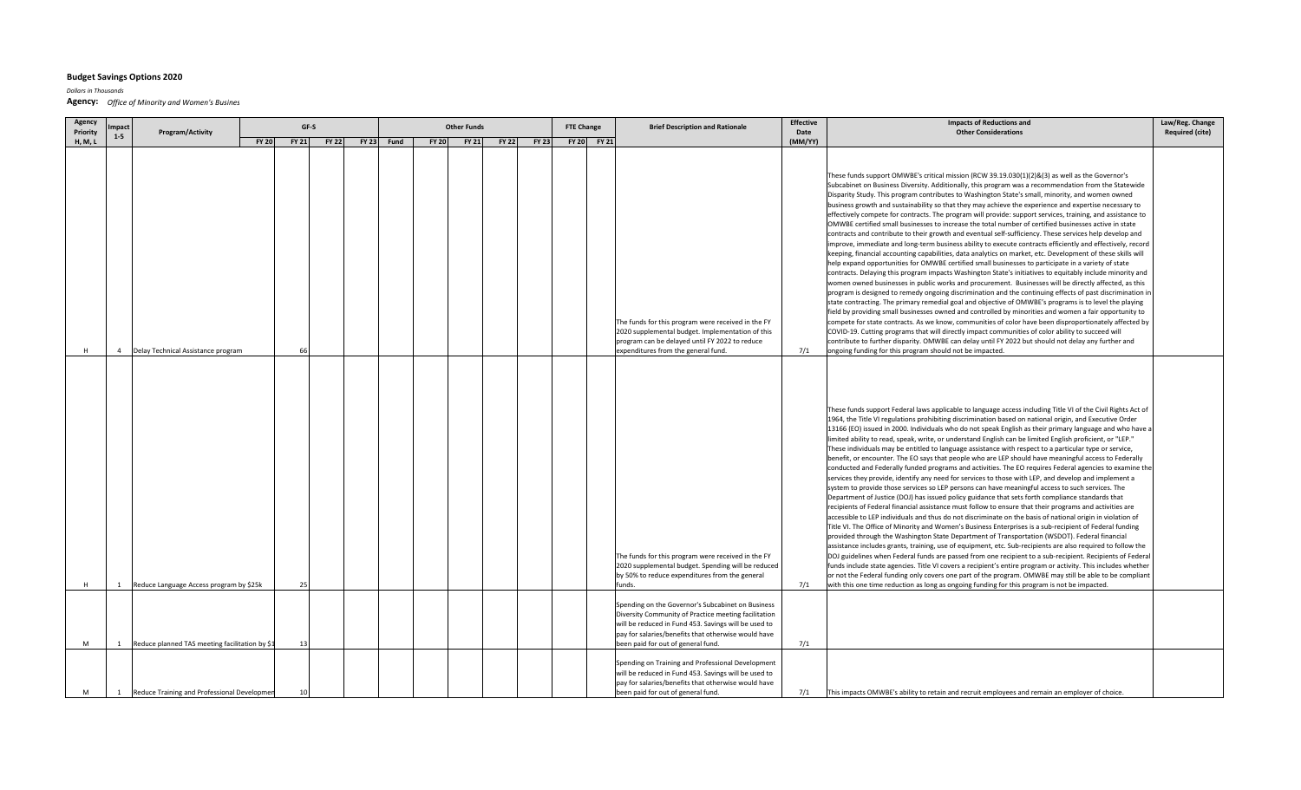## **Budget Savings Options 2020**

*Dollars in Thousands*

**Agency:** *Office of Minority and Women's Busines*

| Agency              | mpact                                                                              |              | GF-S         |              |              | <b>Other Funds</b><br><b>FTE Change</b> |              |              |              |              |  |             | <b>Brief Description and Rationale</b>                                                                                                                                                                                                                         | <b>Effective</b> | <b>Impacts of Reductions and</b>                                                                                                                                                                                                                                                                                                                                                                                                                                                                                                                                                                                                                                                                                                                                                                                                                                                                                                                                                                                                                                                                                                                                                                                                                                                                                                                                                                                                                                                                                                                                                                                                                                                                                                                                                                                                                                                                                                                                                                                                                                                                                                                        | Law/Reg. Change<br><b>Required (cite)</b> |
|---------------------|------------------------------------------------------------------------------------|--------------|--------------|--------------|--------------|-----------------------------------------|--------------|--------------|--------------|--------------|--|-------------|----------------------------------------------------------------------------------------------------------------------------------------------------------------------------------------------------------------------------------------------------------------|------------------|---------------------------------------------------------------------------------------------------------------------------------------------------------------------------------------------------------------------------------------------------------------------------------------------------------------------------------------------------------------------------------------------------------------------------------------------------------------------------------------------------------------------------------------------------------------------------------------------------------------------------------------------------------------------------------------------------------------------------------------------------------------------------------------------------------------------------------------------------------------------------------------------------------------------------------------------------------------------------------------------------------------------------------------------------------------------------------------------------------------------------------------------------------------------------------------------------------------------------------------------------------------------------------------------------------------------------------------------------------------------------------------------------------------------------------------------------------------------------------------------------------------------------------------------------------------------------------------------------------------------------------------------------------------------------------------------------------------------------------------------------------------------------------------------------------------------------------------------------------------------------------------------------------------------------------------------------------------------------------------------------------------------------------------------------------------------------------------------------------------------------------------------------------|-------------------------------------------|
| Priority<br>H, M, L | Program/Activity<br>$1-5$                                                          | <b>FY 20</b> | <b>FY 21</b> | <b>FY 22</b> | <b>FY 23</b> | Fund                                    | <b>FY 20</b> | <b>FY 21</b> | <b>FY 22</b> | <b>FY 23</b> |  | FY 20 FY 21 |                                                                                                                                                                                                                                                                | Date<br>(MM/YY)  | <b>Other Considerations</b>                                                                                                                                                                                                                                                                                                                                                                                                                                                                                                                                                                                                                                                                                                                                                                                                                                                                                                                                                                                                                                                                                                                                                                                                                                                                                                                                                                                                                                                                                                                                                                                                                                                                                                                                                                                                                                                                                                                                                                                                                                                                                                                             |                                           |
|                     |                                                                                    |              |              |              |              |                                         |              |              |              |              |  |             | The funds for this program were received in the FY<br>2020 supplemental budget. Implementation of this                                                                                                                                                         |                  | These funds support OMWBE's critical mission (RCW 39.19.030(1)(2)&(3) as well as the Governor's<br>Subcabinet on Business Diversity. Additionally, this program was a recommendation from the Statewide<br>Disparity Study. This program contributes to Washington State's small, minority, and women owned<br>business growth and sustainability so that they may achieve the experience and expertise necessary to<br>effectively compete for contracts. The program will provide: support services, training, and assistance to<br>OMWBE certified small businesses to increase the total number of certified businesses active in state<br>contracts and contribute to their growth and eventual self-sufficiency. These services help develop and<br>improve, immediate and long-term business ability to execute contracts efficiently and effectively, record<br>keeping, financial accounting capabilities, data analytics on market, etc. Development of these skills will<br>help expand opportunities for OMWBE certified small businesses to participate in a variety of state<br>contracts. Delaying this program impacts Washington State's initiatives to equitably include minority and<br>women owned businesses in public works and procurement. Businesses will be directly affected, as this<br>program is designed to remedy ongoing discrimination and the continuing effects of past discrimination in<br>state contracting. The primary remedial goal and objective of OMWBE's programs is to level the playing<br>field by providing small businesses owned and controlled by minorities and women a fair opportunity to<br>compete for state contracts. As we know, communities of color have been disproportionately affected by<br>COVID-19. Cutting programs that will directly impact communities of color ability to succeed will                                                                                                                                                                                                                                                                                        |                                           |
|                     | $\overline{4}$                                                                     |              |              |              |              |                                         |              |              |              |              |  |             | program can be delayed until FY 2022 to reduce                                                                                                                                                                                                                 |                  | contribute to further disparity. OMWBE can delay until FY 2022 but should not delay any further and                                                                                                                                                                                                                                                                                                                                                                                                                                                                                                                                                                                                                                                                                                                                                                                                                                                                                                                                                                                                                                                                                                                                                                                                                                                                                                                                                                                                                                                                                                                                                                                                                                                                                                                                                                                                                                                                                                                                                                                                                                                     |                                           |
| H                   | Delay Technical Assistance program<br>Reduce Language Access program by \$25k<br>1 |              | 25           |              |              |                                         |              |              |              |              |  |             | expenditures from the general fund.<br>The funds for this program were received in the FY<br>2020 supplemental budget. Spending will be reduced<br>by 50% to reduce expenditures from the general<br>funds.                                                    | 7/1<br>7/1       | ongoing funding for this program should not be impacted.<br>These funds support Federal laws applicable to language access including Title VI of the Civil Rights Act of<br>1964, the Title VI regulations prohibiting discrimination based on national origin, and Executive Order<br>13166 (EO) issued in 2000. Individuals who do not speak English as their primary language and who have a<br>limited ability to read, speak, write, or understand English can be limited English proficient, or "LEP."<br>These individuals may be entitled to language assistance with respect to a particular type or service,<br>benefit, or encounter. The EO says that people who are LEP should have meaningful access to Federally<br>conducted and Federally funded programs and activities. The EO requires Federal agencies to examine the<br>services they provide, identify any need for services to those with LEP, and develop and implement a<br>system to provide those services so LEP persons can have meaningful access to such services. The<br>Department of Justice (DOJ) has issued policy guidance that sets forth compliance standards that<br>recipients of Federal financial assistance must follow to ensure that their programs and activities are<br>accessible to LEP individuals and thus do not discriminate on the basis of national origin in violation of<br>Title VI. The Office of Minority and Women's Business Enterprises is a sub-recipient of Federal funding<br>provided through the Washington State Department of Transportation (WSDOT). Federal financial<br>assistance includes grants, training, use of equipment, etc. Sub-recipients are also required to follow the<br>DOJ guidelines when Federal funds are passed from one recipient to a sub-recipient. Recipients of Federal<br>funds include state agencies. Title VI covers a recipient's entire program or activity. This includes whether<br>or not the Federal funding only covers one part of the program. OMWBE may still be able to be compliant<br>with this one time reduction as long as ongoing funding for this program is not be impacted. |                                           |
| M                   | Reduce planned TAS meeting facilitation by \$1<br>1                                |              | 13           |              |              |                                         |              |              |              |              |  |             | Spending on the Governor's Subcabinet on Business<br>Diversity Community of Practice meeting facilitation<br>will be reduced in Fund 453. Savings will be used to<br>pay for salaries/benefits that otherwise would have<br>been paid for out of general fund. | 7/1              |                                                                                                                                                                                                                                                                                                                                                                                                                                                                                                                                                                                                                                                                                                                                                                                                                                                                                                                                                                                                                                                                                                                                                                                                                                                                                                                                                                                                                                                                                                                                                                                                                                                                                                                                                                                                                                                                                                                                                                                                                                                                                                                                                         |                                           |
| M                   | Reduce Training and Professional Developmer<br>1                                   |              | 10           |              |              |                                         |              |              |              |              |  |             | Spending on Training and Professional Development<br>will be reduced in Fund 453. Savings will be used to<br>pay for salaries/benefits that otherwise would have<br>been paid for out of general fund.                                                         | 7/1              | This impacts OMWBE's ability to retain and recruit employees and remain an employer of choice.                                                                                                                                                                                                                                                                                                                                                                                                                                                                                                                                                                                                                                                                                                                                                                                                                                                                                                                                                                                                                                                                                                                                                                                                                                                                                                                                                                                                                                                                                                                                                                                                                                                                                                                                                                                                                                                                                                                                                                                                                                                          |                                           |